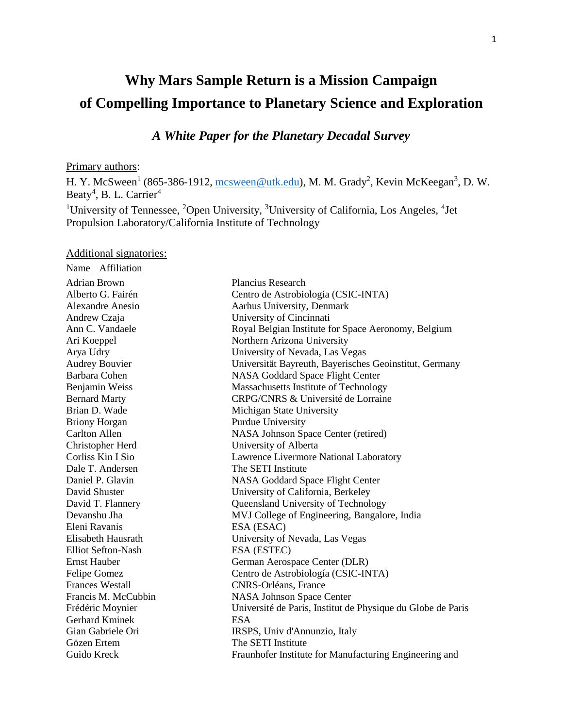# **Why Mars Sample Return is a Mission Campaign of Compelling Importance to Planetary Science and Exploration**

# *A White Paper for the Planetary Decadal Survey*

#### Primary authors:

H. Y. McSween<sup>1</sup> (865-386-1912,  $\frac{\text{mcsween} @\text{utk.edu}}{\text{mctm.edu}}$ , M. M. Grady<sup>2</sup>, Kevin McKeegan<sup>3</sup>, D. W. Beaty<sup>4</sup>, B. L. Carrier<sup>4</sup>

<sup>1</sup>University of Tennessee, <sup>2</sup>Open University, <sup>3</sup>University of California, Los Angeles, <sup>4</sup>Jet Propulsion Laboratory/California Institute of Technology

#### Additional signatories:

| Name Affiliation          |                                                             |
|---------------------------|-------------------------------------------------------------|
| <b>Adrian Brown</b>       | <b>Plancius Research</b>                                    |
| Alberto G. Fairén         | Centro de Astrobiologia (CSIC-INTA)                         |
| <b>Alexandre Anesio</b>   | Aarhus University, Denmark                                  |
| Andrew Czaja              | University of Cincinnati                                    |
| Ann C. Vandaele           | Royal Belgian Institute for Space Aeronomy, Belgium         |
| Ari Koeppel               | Northern Arizona University                                 |
| Arya Udry                 | University of Nevada, Las Vegas                             |
| <b>Audrey Bouvier</b>     | Universität Bayreuth, Bayerisches Geoinstitut, Germany      |
| Barbara Cohen             | NASA Goddard Space Flight Center                            |
| Benjamin Weiss            | Massachusetts Institute of Technology                       |
| <b>Bernard Marty</b>      | CRPG/CNRS & Université de Lorraine                          |
| Brian D. Wade             | Michigan State University                                   |
| <b>Briony Horgan</b>      | Purdue University                                           |
| <b>Carlton Allen</b>      | NASA Johnson Space Center (retired)                         |
| Christopher Herd          | University of Alberta                                       |
| Corliss Kin I Sio         | Lawrence Livermore National Laboratory                      |
| Dale T. Andersen          | The SETI Institute                                          |
| Daniel P. Glavin          | <b>NASA Goddard Space Flight Center</b>                     |
| David Shuster             | University of California, Berkeley                          |
| David T. Flannery         | Queensland University of Technology                         |
| Devanshu Jha              | MVJ College of Engineering, Bangalore, India                |
| Eleni Ravanis             | ESA (ESAC)                                                  |
| Elisabeth Hausrath        | University of Nevada, Las Vegas                             |
| <b>Elliot Sefton-Nash</b> | ESA (ESTEC)                                                 |
| <b>Ernst Hauber</b>       | German Aerospace Center (DLR)                               |
| Felipe Gomez              | Centro de Astrobiología (CSIC-INTA)                         |
| <b>Frances Westall</b>    | CNRS-Orléans, France                                        |
| Francis M. McCubbin       | <b>NASA Johnson Space Center</b>                            |
| Frédéric Moynier          | Université de Paris, Institut de Physique du Globe de Paris |
| <b>Gerhard Kminek</b>     | <b>ESA</b>                                                  |
| Gian Gabriele Ori         | IRSPS, Univ d'Annunzio, Italy                               |
| Gözen Ertem               | The SETI Institute                                          |
| Guido Kreck               | Fraunhofer Institute for Manufacturing Engineering and      |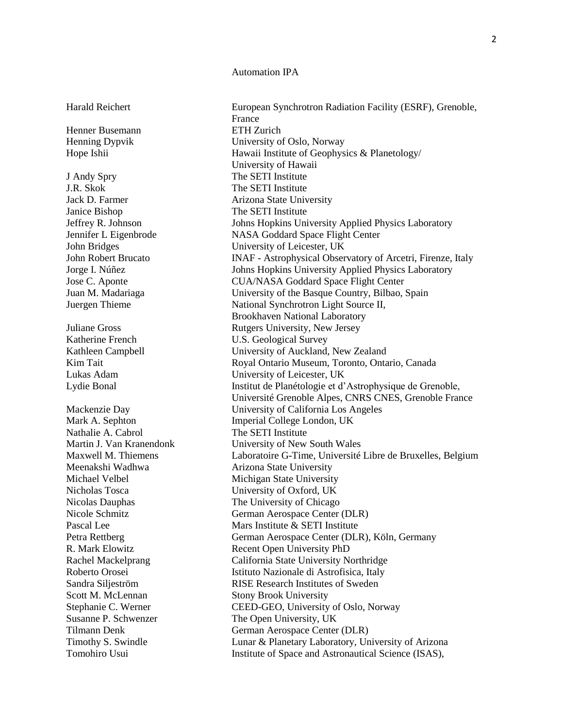#### Automation IPA

Henner Busemann ETH Zurich

J Andy Spry The SETI Institute J.R. Skok The SETI Institute Janice Bishop The SETI Institute Katherine French U.S. Geological Survey Nathalie A. Cabrol The SETI Institute Scott M. McLennan Stony Brook University

Harald Reichert European Synchrotron Radiation Facility (ESRF), Grenoble, France Henning Dypvik University of Oslo, Norway Hope Ishii **Hawaii Institute of Geophysics & Planetology** University of Hawaii Jack D. Farmer **Arizona** State University Jeffrey R. Johnson Johns Hopkins University Applied Physics Laboratory Jennifer L Eigenbrode NASA Goddard Space Flight Center John Bridges University of Leicester, UK John Robert Brucato INAF - Astrophysical Observatory of Arcetri, Firenze, Italy Jorge I. Núñez Johns Hopkins University Applied Physics Laboratory Jose C. Aponte CUA/NASA Goddard Space Flight Center Juan M. Madariaga University of the Basque Country, Bilbao, Spain Juergen Thieme National Synchrotron Light Source II, Brookhaven National Laboratory Juliane Gross Rutgers University, New Jersey Kathleen Campbell University of Auckland, New Zealand Kim Tait Royal Ontario Museum, Toronto, Ontario, Canada Lukas Adam University of Leicester, UK Lydie Bonal Institut de Planétologie et d'Astrophysique de Grenoble, Université Grenoble Alpes, CNRS CNES, Grenoble France Mackenzie Day University of California Los Angeles Mark A. Sephton Imperial College London, UK Martin J. Van Kranendonk University of New South Wales Maxwell M. Thiemens Laboratoire G-Time, Université Libre de Bruxelles, Belgium Meenakshi Wadhwa Arizona State University Michael Velbel Michigan State University Nicholas Tosca University of Oxford, UK Nicolas Dauphas The University of Chicago Nicole Schmitz German Aerospace Center (DLR) Pascal Lee Mars Institute & SETI Institute Petra Rettberg German Aerospace Center (DLR), Köln, Germany R. Mark Elowitz Recent Open University PhD Rachel Mackelprang California State University Northridge Roberto Orosei Istituto Nazionale di Astrofisica, Italy Sandra Siljeström RISE Research Institutes of Sweden Stephanie C. Werner CEED-GEO, University of Oslo, Norway Susanne P. Schwenzer The Open University, UK Tilmann Denk German Aerospace Center (DLR) Timothy S. Swindle Lunar & Planetary Laboratory, University of Arizona Tomohiro Usui **Institute of Space and Astronautical Science (ISAS)**,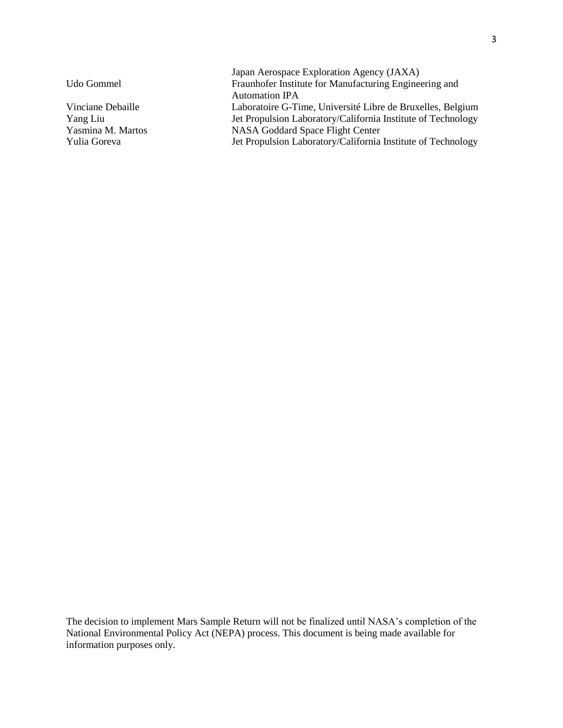Japan Aerospace Exploration Agency (JAXA) Udo Gommel Fraunhofer Institute for Manufacturing Engineering and Automation IPA Vinciane Debaille Laboratoire G-Time, Université Libre de Bruxelles, Belgium Yang Liu Jet Propulsion Laboratory/California Institute of Technology Yasmina M. Martos NASA Goddard Space Flight Center Yulia Goreva Jet Propulsion Laboratory/California Institute of Technology

The decision to implement Mars Sample Return will not be finalized until NASA's completion of the National Environmental Policy Act (NEPA) process. This document is being made available for information purposes only.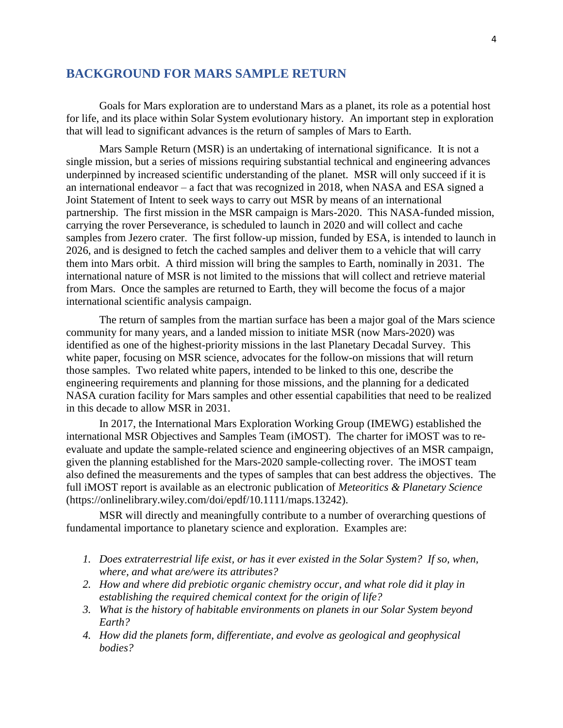#### **BACKGROUND FOR MARS SAMPLE RETURN**

Goals for Mars exploration are to understand Mars as a planet, its role as a potential host for life, and its place within Solar System evolutionary history. An important step in exploration that will lead to significant advances is the return of samples of Mars to Earth.

Mars Sample Return (MSR) is an undertaking of international significance. It is not a single mission, but a series of missions requiring substantial technical and engineering advances underpinned by increased scientific understanding of the planet. MSR will only succeed if it is an international endeavor – a fact that was recognized in 2018, when NASA and ESA signed a Joint Statement of Intent to seek ways to carry out MSR by means of an international partnership. The first mission in the MSR campaign is Mars-2020. This NASA-funded mission, carrying the rover Perseverance, is scheduled to launch in 2020 and will collect and cache samples from Jezero crater. The first follow-up mission, funded by ESA, is intended to launch in 2026, and is designed to fetch the cached samples and deliver them to a vehicle that will carry them into Mars orbit. A third mission will bring the samples to Earth, nominally in 2031. The international nature of MSR is not limited to the missions that will collect and retrieve material from Mars. Once the samples are returned to Earth, they will become the focus of a major international scientific analysis campaign.

The return of samples from the martian surface has been a major goal of the Mars science community for many years, and a landed mission to initiate MSR (now Mars-2020) was identified as one of the highest-priority missions in the last Planetary Decadal Survey. This white paper, focusing on MSR science, advocates for the follow-on missions that will return those samples. Two related white papers, intended to be linked to this one, describe the engineering requirements and planning for those missions, and the planning for a dedicated NASA curation facility for Mars samples and other essential capabilities that need to be realized in this decade to allow MSR in 2031.

In 2017, the International Mars Exploration Working Group (IMEWG) established the international MSR Objectives and Samples Team (iMOST). The charter for iMOST was to reevaluate and update the sample-related science and engineering objectives of an MSR campaign, given the planning established for the Mars-2020 sample-collecting rover. The iMOST team also defined the measurements and the types of samples that can best address the objectives. The full iMOST report is available as an electronic publication of *Meteoritics & Planetary Science* (https://onlinelibrary.wiley.com/doi/epdf/10.1111/maps.13242).

MSR will directly and meaningfully contribute to a number of overarching questions of fundamental importance to planetary science and exploration. Examples are:

- *1. Does extraterrestrial life exist, or has it ever existed in the Solar System? If so, when, where, and what are/were its attributes?*
- *2. How and where did prebiotic organic chemistry occur, and what role did it play in establishing the required chemical context for the origin of life?*
- *3. What is the history of habitable environments on planets in our Solar System beyond Earth?*
- *4. How did the planets form, differentiate, and evolve as geological and geophysical bodies?*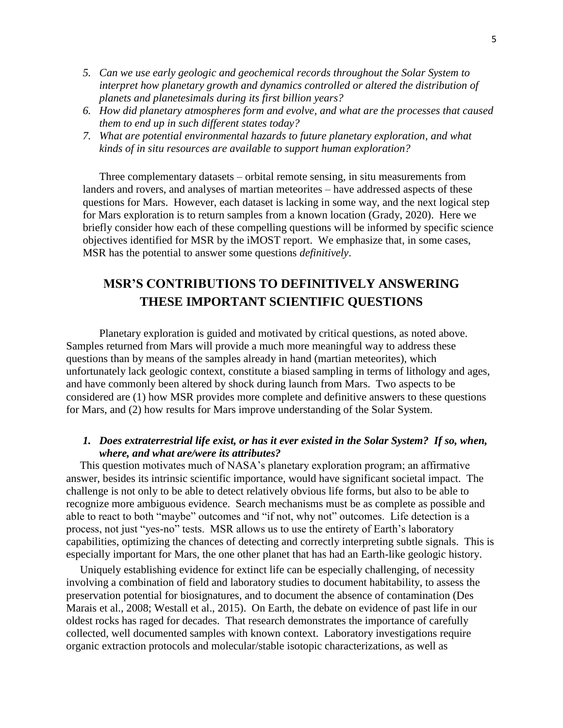- *5. Can we use early geologic and geochemical records throughout the Solar System to interpret how planetary growth and dynamics controlled or altered the distribution of planets and planetesimals during its first billion years?*
- *6. How did planetary atmospheres form and evolve, and what are the processes that caused them to end up in such different states today?*
- *7. What are potential environmental hazards to future planetary exploration, and what kinds of in situ resources are available to support human exploration?*

Three complementary datasets – orbital remote sensing, in situ measurements from landers and rovers, and analyses of martian meteorites – have addressed aspects of these questions for Mars. However, each dataset is lacking in some way, and the next logical step for Mars exploration is to return samples from a known location (Grady, 2020). Here we briefly consider how each of these compelling questions will be informed by specific science objectives identified for MSR by the iMOST report. We emphasize that, in some cases, MSR has the potential to answer some questions *definitively*.

# **MSR'S CONTRIBUTIONS TO DEFINITIVELY ANSWERING THESE IMPORTANT SCIENTIFIC QUESTIONS**

Planetary exploration is guided and motivated by critical questions, as noted above. Samples returned from Mars will provide a much more meaningful way to address these questions than by means of the samples already in hand (martian meteorites), which unfortunately lack geologic context, constitute a biased sampling in terms of lithology and ages, and have commonly been altered by shock during launch from Mars. Two aspects to be considered are (1) how MSR provides more complete and definitive answers to these questions for Mars, and (2) how results for Mars improve understanding of the Solar System.

## *1. Does extraterrestrial life exist, or has it ever existed in the Solar System? If so, when, where, and what are/were its attributes?*

 This question motivates much of NASA's planetary exploration program; an affirmative answer, besides its intrinsic scientific importance, would have significant societal impact. The challenge is not only to be able to detect relatively obvious life forms, but also to be able to recognize more ambiguous evidence. Search mechanisms must be as complete as possible and able to react to both "maybe" outcomes and "if not, why not" outcomes. Life detection is a process, not just "yes-no" tests. MSR allows us to use the entirety of Earth's laboratory capabilities, optimizing the chances of detecting and correctly interpreting subtle signals. This is especially important for Mars, the one other planet that has had an Earth-like geologic history.

 Uniquely establishing evidence for extinct life can be especially challenging, of necessity involving a combination of field and laboratory studies to document habitability, to assess the preservation potential for biosignatures, and to document the absence of contamination (Des Marais et al., 2008; Westall et al., 2015). On Earth, the debate on evidence of past life in our oldest rocks has raged for decades. That research demonstrates the importance of carefully collected, well documented samples with known context. Laboratory investigations require organic extraction protocols and molecular/stable isotopic characterizations, as well as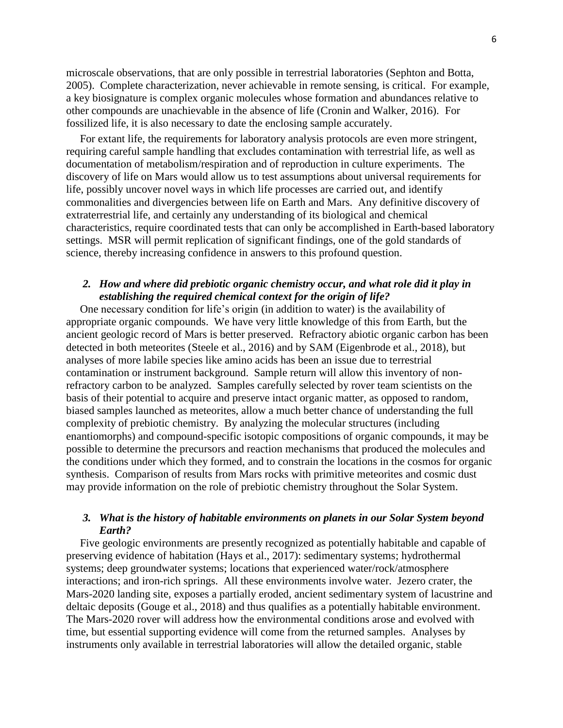microscale observations, that are only possible in terrestrial laboratories (Sephton and Botta, 2005). Complete characterization, never achievable in remote sensing, is critical. For example, a key biosignature is complex organic molecules whose formation and abundances relative to other compounds are unachievable in the absence of life (Cronin and Walker, 2016). For fossilized life, it is also necessary to date the enclosing sample accurately.

 For extant life, the requirements for laboratory analysis protocols are even more stringent, requiring careful sample handling that excludes contamination with terrestrial life, as well as documentation of metabolism/respiration and of reproduction in culture experiments. The discovery of life on Mars would allow us to test assumptions about universal requirements for life, possibly uncover novel ways in which life processes are carried out, and identify commonalities and divergencies between life on Earth and Mars. Any definitive discovery of extraterrestrial life, and certainly any understanding of its biological and chemical characteristics, require coordinated tests that can only be accomplished in Earth-based laboratory settings. MSR will permit replication of significant findings, one of the gold standards of science, thereby increasing confidence in answers to this profound question.

## *2. How and where did prebiotic organic chemistry occur, and what role did it play in establishing the required chemical context for the origin of life?*

 One necessary condition for life's origin (in addition to water) is the availability of appropriate organic compounds. We have very little knowledge of this from Earth, but the ancient geologic record of Mars is better preserved. Refractory abiotic organic carbon has been detected in both meteorites (Steele et al., 2016) and by SAM (Eigenbrode et al., 2018), but analyses of more labile species like amino acids has been an issue due to terrestrial contamination or instrument background. Sample return will allow this inventory of nonrefractory carbon to be analyzed. Samples carefully selected by rover team scientists on the basis of their potential to acquire and preserve intact organic matter, as opposed to random, biased samples launched as meteorites, allow a much better chance of understanding the full complexity of prebiotic chemistry. By analyzing the molecular structures (including enantiomorphs) and compound-specific isotopic compositions of organic compounds, it may be possible to determine the precursors and reaction mechanisms that produced the molecules and the conditions under which they formed, and to constrain the locations in the cosmos for organic synthesis. Comparison of results from Mars rocks with primitive meteorites and cosmic dust may provide information on the role of prebiotic chemistry throughout the Solar System.

#### *3. What is the history of habitable environments on planets in our Solar System beyond Earth?*

 Five geologic environments are presently recognized as potentially habitable and capable of preserving evidence of habitation (Hays et al., 2017): sedimentary systems; hydrothermal systems; deep groundwater systems; locations that experienced water/rock/atmosphere interactions; and iron-rich springs. All these environments involve water. Jezero crater, the Mars-2020 landing site, exposes a partially eroded, ancient sedimentary system of lacustrine and deltaic deposits (Gouge et al., 2018) and thus qualifies as a potentially habitable environment. The Mars-2020 rover will address how the environmental conditions arose and evolved with time, but essential supporting evidence will come from the returned samples. Analyses by instruments only available in terrestrial laboratories will allow the detailed organic, stable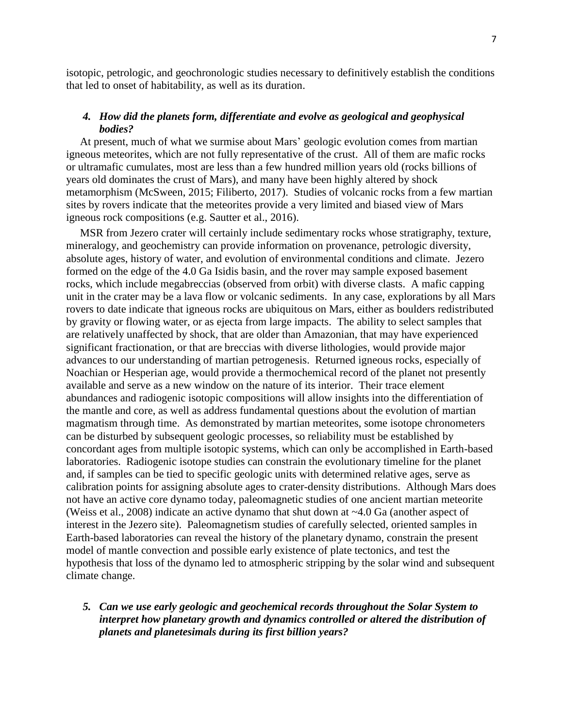isotopic, petrologic, and geochronologic studies necessary to definitively establish the conditions that led to onset of habitability, as well as its duration.

#### *4. How did the planets form, differentiate and evolve as geological and geophysical bodies?*

 At present, much of what we surmise about Mars' geologic evolution comes from martian igneous meteorites, which are not fully representative of the crust. All of them are mafic rocks or ultramafic cumulates, most are less than a few hundred million years old (rocks billions of years old dominates the crust of Mars), and many have been highly altered by shock metamorphism (McSween, 2015; Filiberto, 2017). Studies of volcanic rocks from a few martian sites by rovers indicate that the meteorites provide a very limited and biased view of Mars igneous rock compositions (e.g. Sautter et al., 2016).

 MSR from Jezero crater will certainly include sedimentary rocks whose stratigraphy, texture, mineralogy, and geochemistry can provide information on provenance, petrologic diversity, absolute ages, history of water, and evolution of environmental conditions and climate. Jezero formed on the edge of the 4.0 Ga Isidis basin, and the rover may sample exposed basement rocks, which include megabreccias (observed from orbit) with diverse clasts. A mafic capping unit in the crater may be a lava flow or volcanic sediments. In any case, explorations by all Mars rovers to date indicate that igneous rocks are ubiquitous on Mars, either as boulders redistributed by gravity or flowing water, or as ejecta from large impacts. The ability to select samples that are relatively unaffected by shock, that are older than Amazonian, that may have experienced significant fractionation, or that are breccias with diverse lithologies, would provide major advances to our understanding of martian petrogenesis. Returned igneous rocks, especially of Noachian or Hesperian age, would provide a thermochemical record of the planet not presently available and serve as a new window on the nature of its interior. Their trace element abundances and radiogenic isotopic compositions will allow insights into the differentiation of the mantle and core, as well as address fundamental questions about the evolution of martian magmatism through time. As demonstrated by martian meteorites, some isotope chronometers can be disturbed by subsequent geologic processes, so reliability must be established by concordant ages from multiple isotopic systems, which can only be accomplished in Earth-based laboratories. Radiogenic isotope studies can constrain the evolutionary timeline for the planet and, if samples can be tied to specific geologic units with determined relative ages, serve as calibration points for assigning absolute ages to crater-density distributions. Although Mars does not have an active core dynamo today, paleomagnetic studies of one ancient martian meteorite (Weiss et al., 2008) indicate an active dynamo that shut down at ~4.0 Ga (another aspect of interest in the Jezero site). Paleomagnetism studies of carefully selected, oriented samples in Earth-based laboratories can reveal the history of the planetary dynamo, constrain the present model of mantle convection and possible early existence of plate tectonics, and test the hypothesis that loss of the dynamo led to atmospheric stripping by the solar wind and subsequent climate change.

## *5. Can we use early geologic and geochemical records throughout the Solar System to interpret how planetary growth and dynamics controlled or altered the distribution of planets and planetesimals during its first billion years?*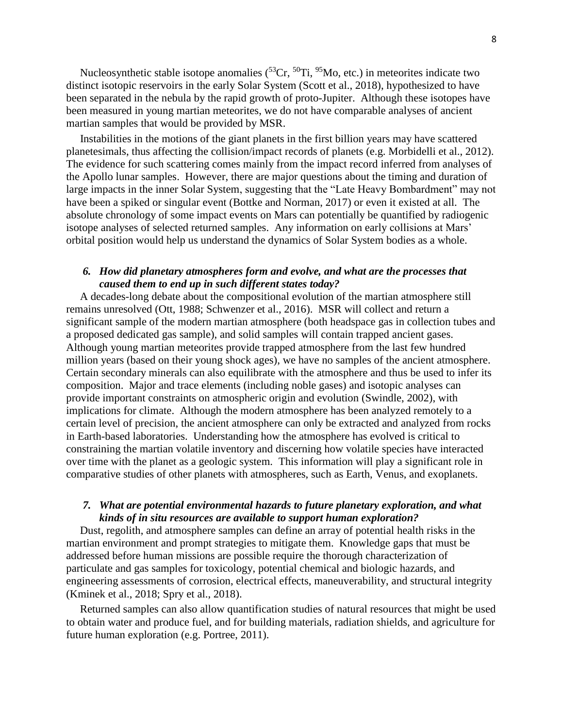Nucleosynthetic stable isotope anomalies  $(^{53}Cr, ^{50}Ti, ^{95}Mo, etc.)$  in meteorites indicate two distinct isotopic reservoirs in the early Solar System (Scott et al., 2018), hypothesized to have been separated in the nebula by the rapid growth of proto-Jupiter. Although these isotopes have been measured in young martian meteorites, we do not have comparable analyses of ancient martian samples that would be provided by MSR.

 Instabilities in the motions of the giant planets in the first billion years may have scattered planetesimals, thus affecting the collision/impact records of planets (e.g. Morbidelli et al., 2012). The evidence for such scattering comes mainly from the impact record inferred from analyses of the Apollo lunar samples. However, there are major questions about the timing and duration of large impacts in the inner Solar System, suggesting that the "Late Heavy Bombardment" may not have been a spiked or singular event (Bottke and Norman, 2017) or even it existed at all. The absolute chronology of some impact events on Mars can potentially be quantified by radiogenic isotope analyses of selected returned samples. Any information on early collisions at Mars' orbital position would help us understand the dynamics of Solar System bodies as a whole.

#### *6. How did planetary atmospheres form and evolve, and what are the processes that caused them to end up in such different states today?*

 A decades-long debate about the compositional evolution of the martian atmosphere still remains unresolved (Ott, 1988; Schwenzer et al., 2016). MSR will collect and return a significant sample of the modern martian atmosphere (both headspace gas in collection tubes and a proposed dedicated gas sample), and solid samples will contain trapped ancient gases. Although young martian meteorites provide trapped atmosphere from the last few hundred million years (based on their young shock ages), we have no samples of the ancient atmosphere. Certain secondary minerals can also equilibrate with the atmosphere and thus be used to infer its composition. Major and trace elements (including noble gases) and isotopic analyses can provide important constraints on atmospheric origin and evolution (Swindle, 2002), with implications for climate. Although the modern atmosphere has been analyzed remotely to a certain level of precision, the ancient atmosphere can only be extracted and analyzed from rocks in Earth-based laboratories. Understanding how the atmosphere has evolved is critical to constraining the martian volatile inventory and discerning how volatile species have interacted over time with the planet as a geologic system. This information will play a significant role in comparative studies of other planets with atmospheres, such as Earth, Venus, and exoplanets.

#### *7. What are potential environmental hazards to future planetary exploration, and what kinds of in situ resources are available to support human exploration?*

 Dust, regolith, and atmosphere samples can define an array of potential health risks in the martian environment and prompt strategies to mitigate them. Knowledge gaps that must be addressed before human missions are possible require the thorough characterization of particulate and gas samples for toxicology, potential chemical and biologic hazards, and engineering assessments of corrosion, electrical effects, maneuverability, and structural integrity (Kminek et al., 2018; Spry et al., 2018).

 Returned samples can also allow quantification studies of natural resources that might be used to obtain water and produce fuel, and for building materials, radiation shields, and agriculture for future human exploration (e.g. Portree, 2011).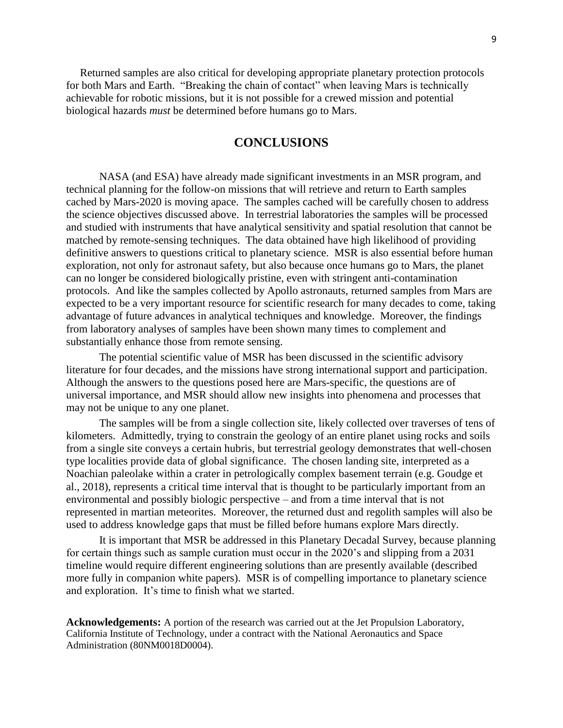Returned samples are also critical for developing appropriate planetary protection protocols for both Mars and Earth. "Breaking the chain of contact" when leaving Mars is technically achievable for robotic missions, but it is not possible for a crewed mission and potential biological hazards *must* be determined before humans go to Mars.

# **CONCLUSIONS**

NASA (and ESA) have already made significant investments in an MSR program, and technical planning for the follow-on missions that will retrieve and return to Earth samples cached by Mars-2020 is moving apace. The samples cached will be carefully chosen to address the science objectives discussed above. In terrestrial laboratories the samples will be processed and studied with instruments that have analytical sensitivity and spatial resolution that cannot be matched by remote-sensing techniques. The data obtained have high likelihood of providing definitive answers to questions critical to planetary science. MSR is also essential before human exploration, not only for astronaut safety, but also because once humans go to Mars, the planet can no longer be considered biologically pristine, even with stringent anti-contamination protocols. And like the samples collected by Apollo astronauts, returned samples from Mars are expected to be a very important resource for scientific research for many decades to come, taking advantage of future advances in analytical techniques and knowledge. Moreover, the findings from laboratory analyses of samples have been shown many times to complement and substantially enhance those from remote sensing.

The potential scientific value of MSR has been discussed in the scientific advisory literature for four decades, and the missions have strong international support and participation. Although the answers to the questions posed here are Mars-specific, the questions are of universal importance, and MSR should allow new insights into phenomena and processes that may not be unique to any one planet.

The samples will be from a single collection site, likely collected over traverses of tens of kilometers. Admittedly, trying to constrain the geology of an entire planet using rocks and soils from a single site conveys a certain hubris, but terrestrial geology demonstrates that well-chosen type localities provide data of global significance. The chosen landing site, interpreted as a Noachian paleolake within a crater in petrologically complex basement terrain (e.g. Goudge et al., 2018), represents a critical time interval that is thought to be particularly important from an environmental and possibly biologic perspective – and from a time interval that is not represented in martian meteorites. Moreover, the returned dust and regolith samples will also be used to address knowledge gaps that must be filled before humans explore Mars directly.

It is important that MSR be addressed in this Planetary Decadal Survey, because planning for certain things such as sample curation must occur in the 2020's and slipping from a 2031 timeline would require different engineering solutions than are presently available (described more fully in companion white papers). MSR is of compelling importance to planetary science and exploration. It's time to finish what we started.

**Acknowledgements:** A portion of the research was carried out at the Jet Propulsion Laboratory, California Institute of Technology, under a contract with the National Aeronautics and Space Administration (80NM0018D0004).